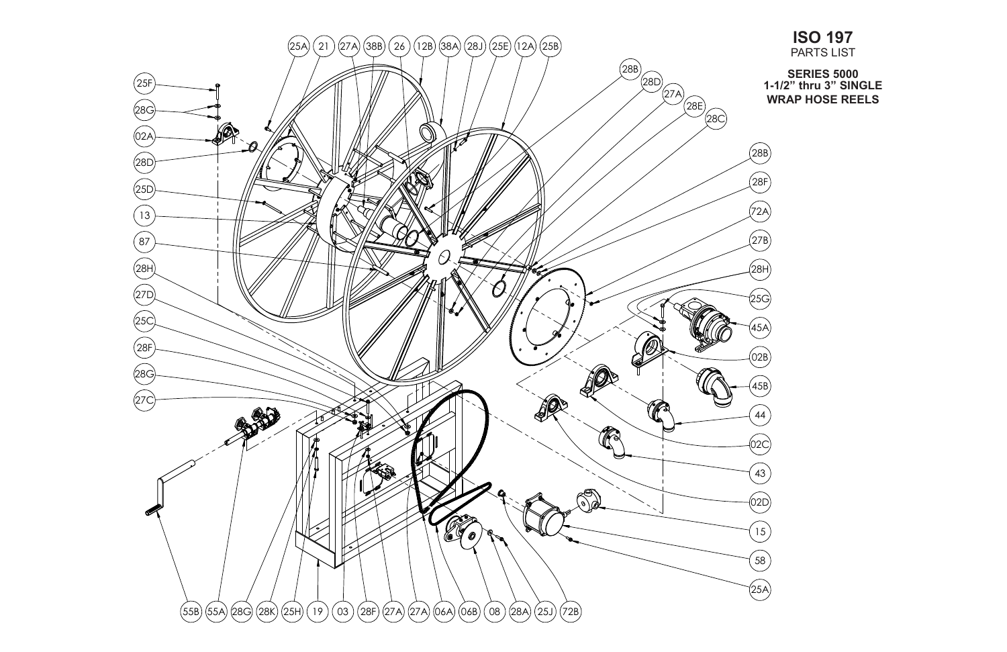

## **ISO 197** PARTS LIST

**SERIES 5000 1-1/2" thru 3" SINGLE WRAP HOSE REELS**